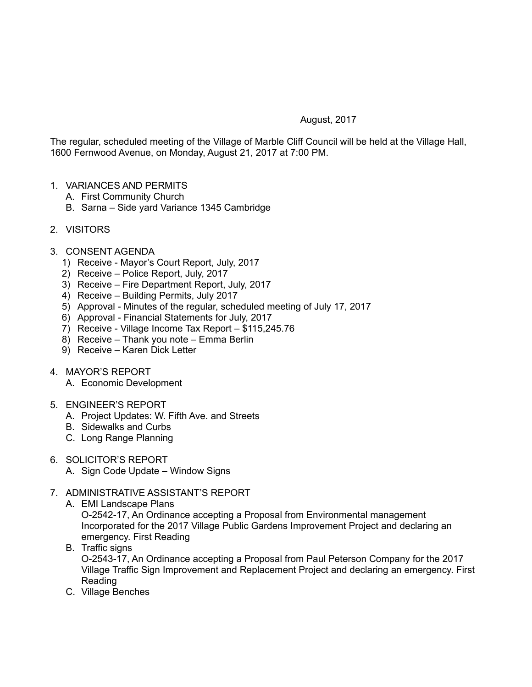## August, 2017

The regular, scheduled meeting of the Village of Marble Cliff Council will be held at the Village Hall, 1600 Fernwood Avenue, on Monday, August 21, 2017 at 7:00 PM.

- 1. VARIANCES AND PERMITS
	- A. First Community Church
	- B. Sarna Side yard Variance 1345 Cambridge
- 2. VISITORS
- 3. CONSENT AGENDA
	- 1) Receive Mayor's Court Report, July, 2017
	- 2) Receive Police Report, July, 2017
	- 3) Receive Fire Department Report, July, 2017
	- 4) Receive Building Permits, July 2017
	- 5) Approval Minutes of the regular, scheduled meeting of July 17, 2017
	- 6) Approval Financial Statements for July, 2017
	- 7) Receive Village Income Tax Report \$115,245.76
	- 8) Receive Thank you note Emma Berlin
	- 9) Receive Karen Dick Letter
- 4. MAYOR'S REPORT
	- A. Economic Development
- 5. ENGINEER'S REPORT
	- A. Project Updates: W. Fifth Ave. and Streets
	- B. Sidewalks and Curbs
	- C. Long Range Planning
- 6. SOLICITOR'S REPORT
	- A. Sign Code Update Window Signs
- 7. ADMINISTRATIVE ASSISTANT'S REPORT
	- A. EMI Landscape Plans O-2542-17, An Ordinance accepting a Proposal from Environmental management Incorporated for the 2017 Village Public Gardens Improvement Project and declaring an emergency. First Reading
	- B. Traffic signs

O-2543-17, An Ordinance accepting a Proposal from Paul Peterson Company for the 2017 Village Traffic Sign Improvement and Replacement Project and declaring an emergency. First Reading

C. Village Benches